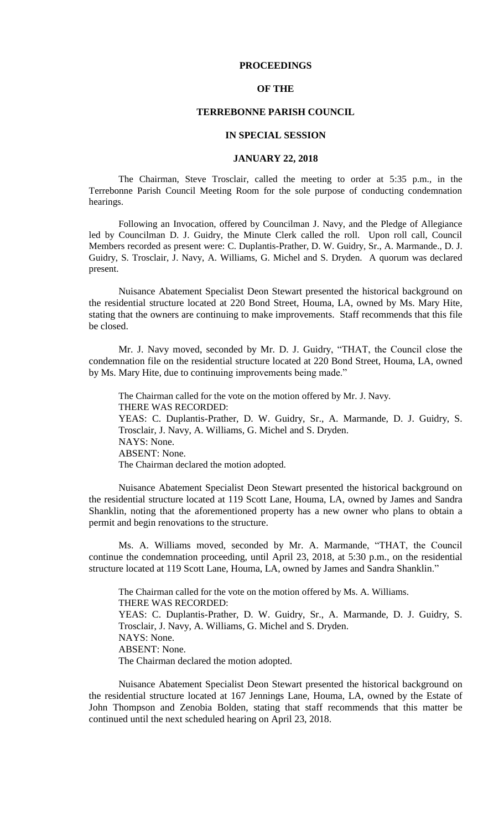### **PROCEEDINGS**

# **OF THE**

# **TERREBONNE PARISH COUNCIL**

#### **IN SPECIAL SESSION**

#### **JANUARY 22, 2018**

The Chairman, Steve Trosclair, called the meeting to order at 5:35 p.m., in the Terrebonne Parish Council Meeting Room for the sole purpose of conducting condemnation hearings.

Following an Invocation, offered by Councilman J. Navy, and the Pledge of Allegiance led by Councilman D. J. Guidry, the Minute Clerk called the roll. Upon roll call, Council Members recorded as present were: C. Duplantis-Prather, D. W. Guidry, Sr., A. Marmande., D. J. Guidry, S. Trosclair, J. Navy, A. Williams, G. Michel and S. Dryden. A quorum was declared present.

Nuisance Abatement Specialist Deon Stewart presented the historical background on the residential structure located at 220 Bond Street, Houma, LA, owned by Ms. Mary Hite, stating that the owners are continuing to make improvements. Staff recommends that this file be closed.

Mr. J. Navy moved, seconded by Mr. D. J. Guidry, "THAT, the Council close the condemnation file on the residential structure located at 220 Bond Street, Houma, LA, owned by Ms. Mary Hite, due to continuing improvements being made."

The Chairman called for the vote on the motion offered by Mr. J. Navy. THERE WAS RECORDED: YEAS: C. Duplantis-Prather, D. W. Guidry, Sr., A. Marmande, D. J. Guidry, S. Trosclair, J. Navy, A. Williams, G. Michel and S. Dryden. NAYS: None. ABSENT: None. The Chairman declared the motion adopted.

Nuisance Abatement Specialist Deon Stewart presented the historical background on the residential structure located at 119 Scott Lane, Houma, LA, owned by James and Sandra Shanklin, noting that the aforementioned property has a new owner who plans to obtain a permit and begin renovations to the structure.

Ms. A. Williams moved, seconded by Mr. A. Marmande, "THAT, the Council continue the condemnation proceeding, until April 23, 2018, at 5:30 p.m., on the residential structure located at 119 Scott Lane, Houma, LA, owned by James and Sandra Shanklin."

The Chairman called for the vote on the motion offered by Ms. A. Williams. THERE WAS RECORDED: YEAS: C. Duplantis-Prather, D. W. Guidry, Sr., A. Marmande, D. J. Guidry, S. Trosclair, J. Navy, A. Williams, G. Michel and S. Dryden. NAYS: None. ABSENT: None. The Chairman declared the motion adopted.

Nuisance Abatement Specialist Deon Stewart presented the historical background on the residential structure located at 167 Jennings Lane, Houma, LA, owned by the Estate of John Thompson and Zenobia Bolden, stating that staff recommends that this matter be continued until the next scheduled hearing on April 23, 2018.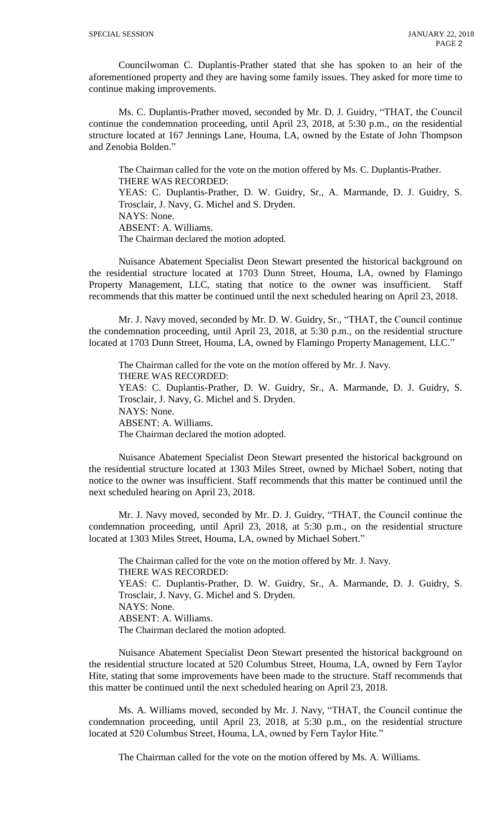Councilwoman C. Duplantis-Prather stated that she has spoken to an heir of the aforementioned property and they are having some family issues. They asked for more time to continue making improvements.

Ms. C. Duplantis-Prather moved, seconded by Mr. D. J. Guidry, "THAT, the Council continue the condemnation proceeding, until April 23, 2018, at 5:30 p.m., on the residential structure located at 167 Jennings Lane, Houma, LA, owned by the Estate of John Thompson and Zenobia Bolden."

The Chairman called for the vote on the motion offered by Ms. C. Duplantis-Prather. THERE WAS RECORDED: YEAS: C. Duplantis-Prather, D. W. Guidry, Sr., A. Marmande, D. J. Guidry, S. Trosclair, J. Navy, G. Michel and S. Dryden. NAYS: None. ABSENT: A. Williams. The Chairman declared the motion adopted.

Nuisance Abatement Specialist Deon Stewart presented the historical background on the residential structure located at 1703 Dunn Street, Houma, LA, owned by Flamingo Property Management, LLC, stating that notice to the owner was insufficient. Staff recommends that this matter be continued until the next scheduled hearing on April 23, 2018.

Mr. J. Navy moved, seconded by Mr. D. W. Guidry, Sr., "THAT, the Council continue the condemnation proceeding, until April 23, 2018, at 5:30 p.m., on the residential structure located at 1703 Dunn Street, Houma, LA, owned by Flamingo Property Management, LLC."

The Chairman called for the vote on the motion offered by Mr. J. Navy. THERE WAS RECORDED: YEAS: C. Duplantis-Prather, D. W. Guidry, Sr., A. Marmande, D. J. Guidry, S. Trosclair, J. Navy, G. Michel and S. Dryden. NAYS: None. ABSENT: A. Williams. The Chairman declared the motion adopted.

Nuisance Abatement Specialist Deon Stewart presented the historical background on the residential structure located at 1303 Miles Street, owned by Michael Sobert, noting that notice to the owner was insufficient. Staff recommends that this matter be continued until the next scheduled hearing on April 23, 2018.

Mr. J. Navy moved, seconded by Mr. D. J. Guidry, "THAT, the Council continue the condemnation proceeding, until April 23, 2018, at 5:30 p.m., on the residential structure located at 1303 Miles Street, Houma, LA, owned by Michael Sobert."

The Chairman called for the vote on the motion offered by Mr. J. Navy. THERE WAS RECORDED: YEAS: C. Duplantis-Prather, D. W. Guidry, Sr., A. Marmande, D. J. Guidry, S. Trosclair, J. Navy, G. Michel and S. Dryden. NAYS: None. ABSENT: A. Williams. The Chairman declared the motion adopted.

Nuisance Abatement Specialist Deon Stewart presented the historical background on the residential structure located at 520 Columbus Street, Houma, LA, owned by Fern Taylor Hite, stating that some improvements have been made to the structure. Staff recommends that this matter be continued until the next scheduled hearing on April 23, 2018.

Ms. A. Williams moved, seconded by Mr. J. Navy, "THAT, the Council continue the condemnation proceeding, until April 23, 2018, at 5:30 p.m., on the residential structure located at 520 Columbus Street, Houma, LA, owned by Fern Taylor Hite."

The Chairman called for the vote on the motion offered by Ms. A. Williams.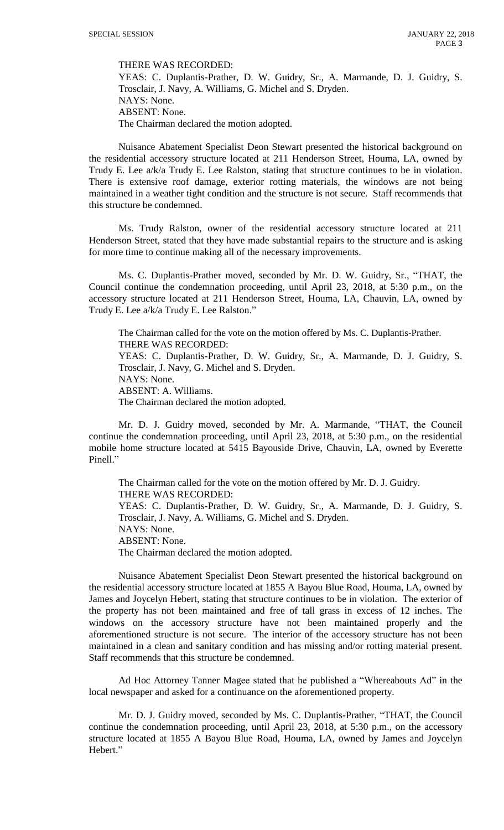THERE WAS RECORDED:

YEAS: C. Duplantis-Prather, D. W. Guidry, Sr., A. Marmande, D. J. Guidry, S. Trosclair, J. Navy, A. Williams, G. Michel and S. Dryden. NAYS: None. ABSENT: None. The Chairman declared the motion adopted.

Nuisance Abatement Specialist Deon Stewart presented the historical background on the residential accessory structure located at 211 Henderson Street, Houma, LA, owned by Trudy E. Lee a/k/a Trudy E. Lee Ralston, stating that structure continues to be in violation. There is extensive roof damage, exterior rotting materials, the windows are not being maintained in a weather tight condition and the structure is not secure. Staff recommends that this structure be condemned.

Ms. Trudy Ralston, owner of the residential accessory structure located at 211 Henderson Street, stated that they have made substantial repairs to the structure and is asking for more time to continue making all of the necessary improvements.

Ms. C. Duplantis-Prather moved, seconded by Mr. D. W. Guidry, Sr., "THAT, the Council continue the condemnation proceeding, until April 23, 2018, at 5:30 p.m., on the accessory structure located at 211 Henderson Street, Houma, LA, Chauvin, LA, owned by Trudy E. Lee a/k/a Trudy E. Lee Ralston."

The Chairman called for the vote on the motion offered by Ms. C. Duplantis-Prather. THERE WAS RECORDED: YEAS: C. Duplantis-Prather, D. W. Guidry, Sr., A. Marmande, D. J. Guidry, S. Trosclair, J. Navy, G. Michel and S. Dryden. NAYS: None. ABSENT: A. Williams. The Chairman declared the motion adopted.

Mr. D. J. Guidry moved, seconded by Mr. A. Marmande, "THAT, the Council continue the condemnation proceeding, until April 23, 2018, at 5:30 p.m., on the residential mobile home structure located at 5415 Bayouside Drive, Chauvin, LA, owned by Everette Pinell."

The Chairman called for the vote on the motion offered by Mr. D. J. Guidry. THERE WAS RECORDED: YEAS: C. Duplantis-Prather, D. W. Guidry, Sr., A. Marmande, D. J. Guidry, S. Trosclair, J. Navy, A. Williams, G. Michel and S. Dryden. NAYS: None. ABSENT: None. The Chairman declared the motion adopted.

Nuisance Abatement Specialist Deon Stewart presented the historical background on the residential accessory structure located at 1855 A Bayou Blue Road, Houma, LA, owned by James and Joycelyn Hebert, stating that structure continues to be in violation. The exterior of the property has not been maintained and free of tall grass in excess of 12 inches. The windows on the accessory structure have not been maintained properly and the aforementioned structure is not secure. The interior of the accessory structure has not been maintained in a clean and sanitary condition and has missing and/or rotting material present. Staff recommends that this structure be condemned.

Ad Hoc Attorney Tanner Magee stated that he published a "Whereabouts Ad" in the local newspaper and asked for a continuance on the aforementioned property.

Mr. D. J. Guidry moved, seconded by Ms. C. Duplantis-Prather, "THAT, the Council continue the condemnation proceeding, until April 23, 2018, at 5:30 p.m., on the accessory structure located at 1855 A Bayou Blue Road, Houma, LA, owned by James and Joycelyn Hebert."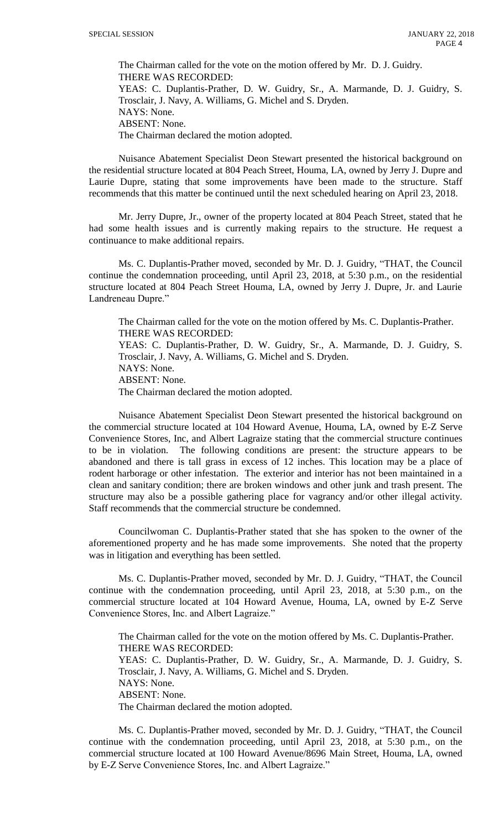The Chairman called for the vote on the motion offered by Mr. D. J. Guidry. THERE WAS RECORDED: YEAS: C. Duplantis-Prather, D. W. Guidry, Sr., A. Marmande, D. J. Guidry, S. Trosclair, J. Navy, A. Williams, G. Michel and S. Dryden. NAYS: None. ABSENT: None. The Chairman declared the motion adopted.

Nuisance Abatement Specialist Deon Stewart presented the historical background on the residential structure located at 804 Peach Street, Houma, LA, owned by Jerry J. Dupre and Laurie Dupre, stating that some improvements have been made to the structure. Staff recommends that this matter be continued until the next scheduled hearing on April 23, 2018.

Mr. Jerry Dupre, Jr., owner of the property located at 804 Peach Street, stated that he had some health issues and is currently making repairs to the structure. He request a continuance to make additional repairs.

Ms. C. Duplantis-Prather moved, seconded by Mr. D. J. Guidry, "THAT, the Council continue the condemnation proceeding, until April 23, 2018, at 5:30 p.m., on the residential structure located at 804 Peach Street Houma, LA, owned by Jerry J. Dupre, Jr. and Laurie Landreneau Dupre."

The Chairman called for the vote on the motion offered by Ms. C. Duplantis-Prather. THERE WAS RECORDED: YEAS: C. Duplantis-Prather, D. W. Guidry, Sr., A. Marmande, D. J. Guidry, S. Trosclair, J. Navy, A. Williams, G. Michel and S. Dryden. NAYS: None. ABSENT: None.

The Chairman declared the motion adopted.

Nuisance Abatement Specialist Deon Stewart presented the historical background on the commercial structure located at 104 Howard Avenue, Houma, LA, owned by E-Z Serve Convenience Stores, Inc, and Albert Lagraize stating that the commercial structure continues to be in violation. The following conditions are present: the structure appears to be abandoned and there is tall grass in excess of 12 inches. This location may be a place of rodent harborage or other infestation. The exterior and interior has not been maintained in a clean and sanitary condition; there are broken windows and other junk and trash present. The structure may also be a possible gathering place for vagrancy and/or other illegal activity. Staff recommends that the commercial structure be condemned.

Councilwoman C. Duplantis-Prather stated that she has spoken to the owner of the aforementioned property and he has made some improvements. She noted that the property was in litigation and everything has been settled.

Ms. C. Duplantis-Prather moved, seconded by Mr. D. J. Guidry, "THAT, the Council continue with the condemnation proceeding, until April 23, 2018, at 5:30 p.m., on the commercial structure located at 104 Howard Avenue, Houma, LA, owned by E-Z Serve Convenience Stores, Inc. and Albert Lagraize."

The Chairman called for the vote on the motion offered by Ms. C. Duplantis-Prather. THERE WAS RECORDED: YEAS: C. Duplantis-Prather, D. W. Guidry, Sr., A. Marmande, D. J. Guidry, S. Trosclair, J. Navy, A. Williams, G. Michel and S. Dryden. NAYS: None. ABSENT: None. The Chairman declared the motion adopted.

Ms. C. Duplantis-Prather moved, seconded by Mr. D. J. Guidry, "THAT, the Council continue with the condemnation proceeding, until April 23, 2018, at 5:30 p.m., on the commercial structure located at 100 Howard Avenue/8696 Main Street, Houma, LA, owned by E-Z Serve Convenience Stores, Inc. and Albert Lagraize."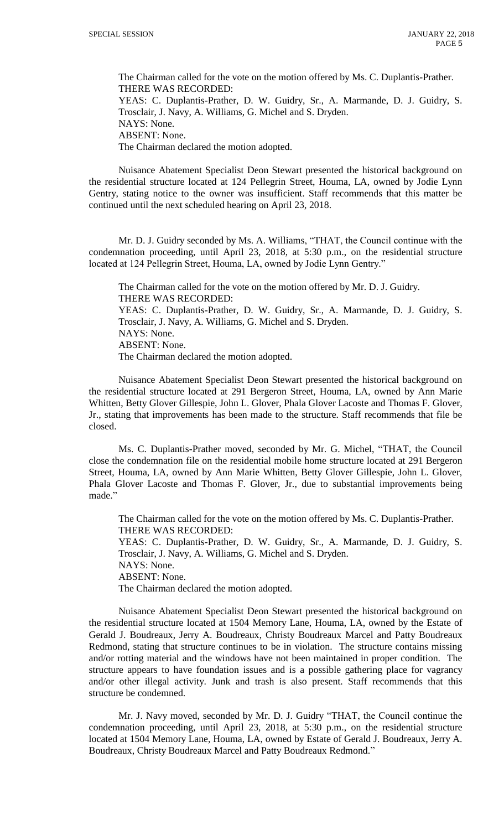The Chairman called for the vote on the motion offered by Ms. C. Duplantis-Prather. THERE WAS RECORDED: YEAS: C. Duplantis-Prather, D. W. Guidry, Sr., A. Marmande, D. J. Guidry, S. Trosclair, J. Navy, A. Williams, G. Michel and S. Dryden. NAYS: None. ABSENT: None. The Chairman declared the motion adopted.

Nuisance Abatement Specialist Deon Stewart presented the historical background on the residential structure located at 124 Pellegrin Street, Houma, LA, owned by Jodie Lynn Gentry, stating notice to the owner was insufficient. Staff recommends that this matter be continued until the next scheduled hearing on April 23, 2018.

Mr. D. J. Guidry seconded by Ms. A. Williams, "THAT, the Council continue with the condemnation proceeding, until April 23, 2018, at 5:30 p.m., on the residential structure located at 124 Pellegrin Street, Houma, LA, owned by Jodie Lynn Gentry."

The Chairman called for the vote on the motion offered by Mr. D. J. Guidry. THERE WAS RECORDED: YEAS: C. Duplantis-Prather, D. W. Guidry, Sr., A. Marmande, D. J. Guidry, S. Trosclair, J. Navy, A. Williams, G. Michel and S. Dryden. NAYS: None. ABSENT: None. The Chairman declared the motion adopted.

Nuisance Abatement Specialist Deon Stewart presented the historical background on the residential structure located at 291 Bergeron Street, Houma, LA, owned by Ann Marie Whitten, Betty Glover Gillespie, John L. Glover, Phala Glover Lacoste and Thomas F. Glover, Jr., stating that improvements has been made to the structure. Staff recommends that file be closed.

Ms. C. Duplantis-Prather moved, seconded by Mr. G. Michel, "THAT, the Council close the condemnation file on the residential mobile home structure located at 291 Bergeron Street, Houma, LA, owned by Ann Marie Whitten, Betty Glover Gillespie, John L. Glover, Phala Glover Lacoste and Thomas F. Glover, Jr., due to substantial improvements being made."

The Chairman called for the vote on the motion offered by Ms. C. Duplantis-Prather. THERE WAS RECORDED: YEAS: C. Duplantis-Prather, D. W. Guidry, Sr., A. Marmande, D. J. Guidry, S. Trosclair, J. Navy, A. Williams, G. Michel and S. Dryden. NAYS: None. ABSENT: None. The Chairman declared the motion adopted.

Nuisance Abatement Specialist Deon Stewart presented the historical background on the residential structure located at 1504 Memory Lane, Houma, LA, owned by the Estate of Gerald J. Boudreaux, Jerry A. Boudreaux, Christy Boudreaux Marcel and Patty Boudreaux Redmond, stating that structure continues to be in violation. The structure contains missing and/or rotting material and the windows have not been maintained in proper condition. The structure appears to have foundation issues and is a possible gathering place for vagrancy and/or other illegal activity. Junk and trash is also present. Staff recommends that this structure be condemned.

Mr. J. Navy moved, seconded by Mr. D. J. Guidry "THAT, the Council continue the condemnation proceeding, until April 23, 2018, at 5:30 p.m., on the residential structure located at 1504 Memory Lane, Houma, LA, owned by Estate of Gerald J. Boudreaux, Jerry A. Boudreaux, Christy Boudreaux Marcel and Patty Boudreaux Redmond."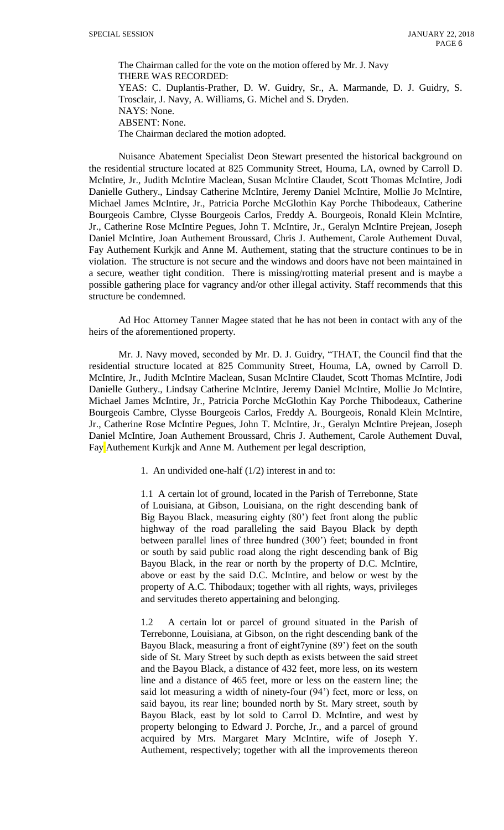The Chairman called for the vote on the motion offered by Mr. J. Navy THERE WAS RECORDED: YEAS: C. Duplantis-Prather, D. W. Guidry, Sr., A. Marmande, D. J. Guidry, S. Trosclair, J. Navy, A. Williams, G. Michel and S. Dryden. NAYS: None. ABSENT: None. The Chairman declared the motion adopted.

Nuisance Abatement Specialist Deon Stewart presented the historical background on the residential structure located at 825 Community Street, Houma, LA, owned by Carroll D. McIntire, Jr., Judith McIntire Maclean, Susan McIntire Claudet, Scott Thomas McIntire, Jodi Danielle Guthery., Lindsay Catherine McIntire, Jeremy Daniel McIntire, Mollie Jo McIntire, Michael James McIntire, Jr., Patricia Porche McGlothin Kay Porche Thibodeaux, Catherine Bourgeois Cambre, Clysse Bourgeois Carlos, Freddy A. Bourgeois, Ronald Klein McIntire, Jr., Catherine Rose McIntire Pegues, John T. McIntire, Jr., Geralyn McIntire Prejean, Joseph Daniel McIntire, Joan Authement Broussard, Chris J. Authement, Carole Authement Duval, Fay Authement Kurkjk and Anne M. Authement, stating that the structure continues to be in violation. The structure is not secure and the windows and doors have not been maintained in a secure, weather tight condition. There is missing/rotting material present and is maybe a possible gathering place for vagrancy and/or other illegal activity. Staff recommends that this structure be condemned.

Ad Hoc Attorney Tanner Magee stated that he has not been in contact with any of the heirs of the aforementioned property.

Mr. J. Navy moved, seconded by Mr. D. J. Guidry, "THAT, the Council find that the residential structure located at 825 Community Street, Houma, LA, owned by Carroll D. McIntire, Jr., Judith McIntire Maclean, Susan McIntire Claudet, Scott Thomas McIntire, Jodi Danielle Guthery., Lindsay Catherine McIntire, Jeremy Daniel McIntire, Mollie Jo McIntire, Michael James McIntire, Jr., Patricia Porche McGlothin Kay Porche Thibodeaux, Catherine Bourgeois Cambre, Clysse Bourgeois Carlos, Freddy A. Bourgeois, Ronald Klein McIntire, Jr., Catherine Rose McIntire Pegues, John T. McIntire, Jr., Geralyn McIntire Prejean, Joseph Daniel McIntire, Joan Authement Broussard, Chris J. Authement, Carole Authement Duval, Fay Authement Kurkjk and Anne M. Authement per legal description,

1. An undivided one-half (1/2) interest in and to:

1.1 A certain lot of ground, located in the Parish of Terrebonne, State of Louisiana, at Gibson, Louisiana, on the right descending bank of Big Bayou Black, measuring eighty (80') feet front along the public highway of the road paralleling the said Bayou Black by depth between parallel lines of three hundred (300') feet; bounded in front or south by said public road along the right descending bank of Big Bayou Black, in the rear or north by the property of D.C. McIntire, above or east by the said D.C. McIntire, and below or west by the property of A.C. Thibodaux; together with all rights, ways, privileges and servitudes thereto appertaining and belonging.

1.2 A certain lot or parcel of ground situated in the Parish of Terrebonne, Louisiana, at Gibson, on the right descending bank of the Bayou Black, measuring a front of eight7ynine (89') feet on the south side of St. Mary Street by such depth as exists between the said street and the Bayou Black, a distance of 432 feet, more less, on its western line and a distance of 465 feet, more or less on the eastern line; the said lot measuring a width of ninety-four (94') feet, more or less, on said bayou, its rear line; bounded north by St. Mary street, south by Bayou Black, east by lot sold to Carrol D. McIntire, and west by property belonging to Edward J. Porche, Jr., and a parcel of ground acquired by Mrs. Margaret Mary McIntire, wife of Joseph Y. Authement, respectively; together with all the improvements thereon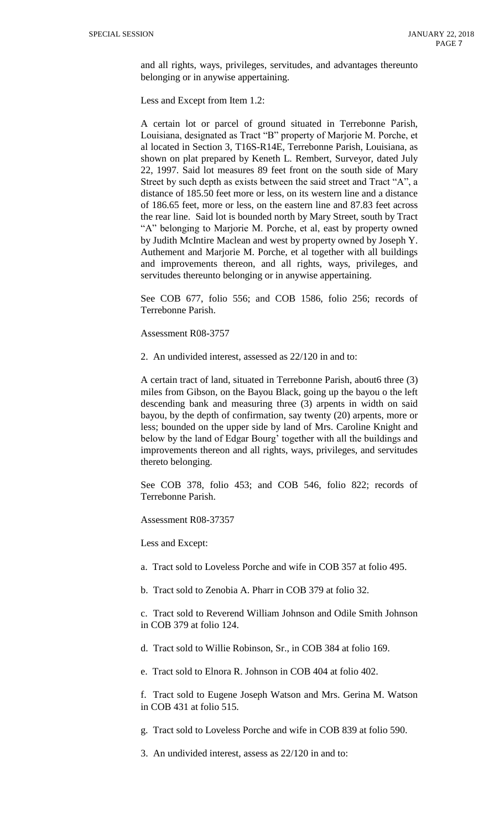and all rights, ways, privileges, servitudes, and advantages thereunto belonging or in anywise appertaining.

Less and Except from Item 1.2:

A certain lot or parcel of ground situated in Terrebonne Parish, Louisiana, designated as Tract "B" property of Marjorie M. Porche, et al located in Section 3, T16S-R14E, Terrebonne Parish, Louisiana, as shown on plat prepared by Keneth L. Rembert, Surveyor, dated July 22, 1997. Said lot measures 89 feet front on the south side of Mary Street by such depth as exists between the said street and Tract "A", a distance of 185.50 feet more or less, on its western line and a distance of 186.65 feet, more or less, on the eastern line and 87.83 feet across the rear line. Said lot is bounded north by Mary Street, south by Tract "A" belonging to Marjorie M. Porche, et al, east by property owned by Judith McIntire Maclean and west by property owned by Joseph Y. Authement and Marjorie M. Porche, et al together with all buildings and improvements thereon, and all rights, ways, privileges, and servitudes thereunto belonging or in anywise appertaining.

See COB 677, folio 556; and COB 1586, folio 256; records of Terrebonne Parish.

Assessment R08-3757

2. An undivided interest, assessed as 22/120 in and to:

A certain tract of land, situated in Terrebonne Parish, about6 three (3) miles from Gibson, on the Bayou Black, going up the bayou o the left descending bank and measuring three (3) arpents in width on said bayou, by the depth of confirmation, say twenty (20) arpents, more or less; bounded on the upper side by land of Mrs. Caroline Knight and below by the land of Edgar Bourg' together with all the buildings and improvements thereon and all rights, ways, privileges, and servitudes thereto belonging.

See COB 378, folio 453; and COB 546, folio 822; records of Terrebonne Parish.

Assessment R08-37357

Less and Except:

a. Tract sold to Loveless Porche and wife in COB 357 at folio 495.

b. Tract sold to Zenobia A. Pharr in COB 379 at folio 32.

c. Tract sold to Reverend William Johnson and Odile Smith Johnson in COB 379 at folio 124.

d. Tract sold to Willie Robinson, Sr., in COB 384 at folio 169.

e. Tract sold to Elnora R. Johnson in COB 404 at folio 402.

f. Tract sold to Eugene Joseph Watson and Mrs. Gerina M. Watson in COB 431 at folio 515.

g. Tract sold to Loveless Porche and wife in COB 839 at folio 590.

3. An undivided interest, assess as 22/120 in and to: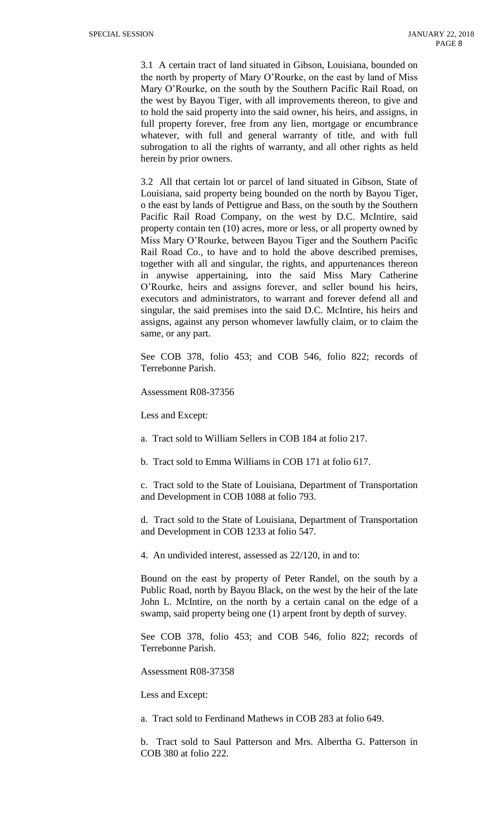3.1 A certain tract of land situated in Gibson, Louisiana, bounded on the north by property of Mary O'Rourke, on the east by land of Miss Mary O'Rourke, on the south by the Southern Pacific Rail Road, on the west by Bayou Tiger, with all improvements thereon, to give and to hold the said property into the said owner, his heirs, and assigns, in full property forever, free from any lien, mortgage or encumbrance whatever, with full and general warranty of title, and with full subrogation to all the rights of warranty, and all other rights as held herein by prior owners.

3.2 All that certain lot or parcel of land situated in Gibson, State of Louisiana, said property being bounded on the north by Bayou Tiger, o the east by lands of Pettigrue and Bass, on the south by the Southern Pacific Rail Road Company, on the west by D.C. McIntire, said property contain ten (10) acres, more or less, or all property owned by Miss Mary O'Rourke, between Bayou Tiger and the Southern Pacific Rail Road Co., to have and to hold the above described premises, together with all and singular, the rights, and appurtenances thereon in anywise appertaining, into the said Miss Mary Catherine O'Rourke, heirs and assigns forever, and seller bound his heirs, executors and administrators, to warrant and forever defend all and singular, the said premises into the said D.C. McIntire, his heirs and assigns, against any person whomever lawfully claim, or to claim the same, or any part.

See COB 378, folio 453; and COB 546, folio 822; records of Terrebonne Parish.

Assessment R08-37356

Less and Except:

a. Tract sold to William Sellers in COB 184 at folio 217.

b. Tract sold to Emma Williams in COB 171 at folio 617.

c. Tract sold to the State of Louisiana, Department of Transportation and Development in COB 1088 at folio 793.

d. Tract sold to the State of Louisiana, Department of Transportation and Development in COB 1233 at folio 547.

4. An undivided interest, assessed as 22/120, in and to:

Bound on the east by property of Peter Randel, on the south by a Public Road, north by Bayou Black, on the west by the heir of the late John L. McIntire, on the north by a certain canal on the edge of a swamp, said property being one (1) arpent front by depth of survey.

See COB 378, folio 453; and COB 546, folio 822; records of Terrebonne Parish.

Assessment R08-37358

Less and Except:

a. Tract sold to Ferdinand Mathews in COB 283 at folio 649.

b. Tract sold to Saul Patterson and Mrs. Albertha G. Patterson in COB 380 at folio 222.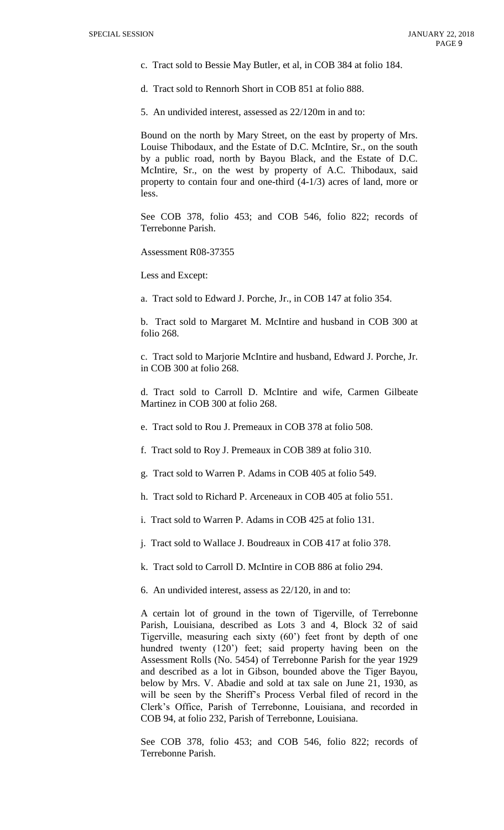- c. Tract sold to Bessie May Butler, et al, in COB 384 at folio 184.
- d. Tract sold to Rennorh Short in COB 851 at folio 888.
- 5. An undivided interest, assessed as 22/120m in and to:

Bound on the north by Mary Street, on the east by property of Mrs. Louise Thibodaux, and the Estate of D.C. McIntire, Sr., on the south by a public road, north by Bayou Black, and the Estate of D.C. McIntire, Sr., on the west by property of A.C. Thibodaux, said property to contain four and one-third (4-1/3) acres of land, more or less.

See COB 378, folio 453; and COB 546, folio 822; records of Terrebonne Parish.

Assessment R08-37355

Less and Except:

a. Tract sold to Edward J. Porche, Jr., in COB 147 at folio 354.

b. Tract sold to Margaret M. McIntire and husband in COB 300 at folio 268.

c. Tract sold to Marjorie McIntire and husband, Edward J. Porche, Jr. in COB 300 at folio 268.

d. Tract sold to Carroll D. McIntire and wife, Carmen Gilbeate Martinez in COB 300 at folio 268.

- e. Tract sold to Rou J. Premeaux in COB 378 at folio 508.
- f. Tract sold to Roy J. Premeaux in COB 389 at folio 310.
- g. Tract sold to Warren P. Adams in COB 405 at folio 549.
- h. Tract sold to Richard P. Arceneaux in COB 405 at folio 551.
- i. Tract sold to Warren P. Adams in COB 425 at folio 131.
- j. Tract sold to Wallace J. Boudreaux in COB 417 at folio 378.
- k. Tract sold to Carroll D. McIntire in COB 886 at folio 294.
- 6. An undivided interest, assess as 22/120, in and to:

A certain lot of ground in the town of Tigerville, of Terrebonne Parish, Louisiana, described as Lots 3 and 4, Block 32 of said Tigerville, measuring each sixty (60') feet front by depth of one hundred twenty (120') feet; said property having been on the Assessment Rolls (No. 5454) of Terrebonne Parish for the year 1929 and described as a lot in Gibson, bounded above the Tiger Bayou, below by Mrs. V. Abadie and sold at tax sale on June 21, 1930, as will be seen by the Sheriff's Process Verbal filed of record in the Clerk's Office, Parish of Terrebonne, Louisiana, and recorded in COB 94, at folio 232, Parish of Terrebonne, Louisiana.

See COB 378, folio 453; and COB 546, folio 822; records of Terrebonne Parish.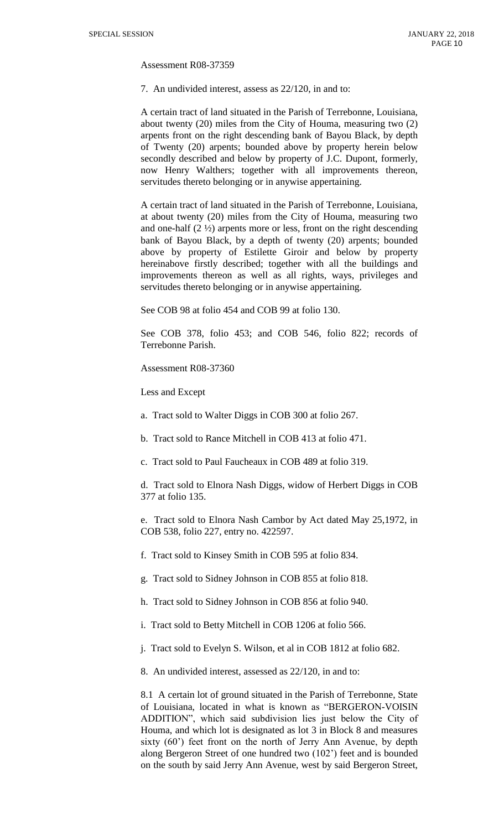Assessment R08-37359

7. An undivided interest, assess as 22/120, in and to:

A certain tract of land situated in the Parish of Terrebonne, Louisiana, about twenty (20) miles from the City of Houma, measuring two (2) arpents front on the right descending bank of Bayou Black, by depth of Twenty (20) arpents; bounded above by property herein below secondly described and below by property of J.C. Dupont, formerly, now Henry Walthers; together with all improvements thereon, servitudes thereto belonging or in anywise appertaining.

A certain tract of land situated in the Parish of Terrebonne, Louisiana, at about twenty (20) miles from the City of Houma, measuring two and one-half  $(2 \frac{1}{2})$  arpents more or less, front on the right descending bank of Bayou Black, by a depth of twenty (20) arpents; bounded above by property of Estilette Giroir and below by property hereinabove firstly described; together with all the buildings and improvements thereon as well as all rights, ways, privileges and servitudes thereto belonging or in anywise appertaining.

See COB 98 at folio 454 and COB 99 at folio 130.

See COB 378, folio 453; and COB 546, folio 822; records of Terrebonne Parish.

Assessment R08-37360

Less and Except

- a. Tract sold to Walter Diggs in COB 300 at folio 267.
- b. Tract sold to Rance Mitchell in COB 413 at folio 471.
- c. Tract sold to Paul Faucheaux in COB 489 at folio 319.

d. Tract sold to Elnora Nash Diggs, widow of Herbert Diggs in COB 377 at folio 135.

e. Tract sold to Elnora Nash Cambor by Act dated May 25,1972, in COB 538, folio 227, entry no. 422597.

f. Tract sold to Kinsey Smith in COB 595 at folio 834.

g. Tract sold to Sidney Johnson in COB 855 at folio 818.

h. Tract sold to Sidney Johnson in COB 856 at folio 940.

- i. Tract sold to Betty Mitchell in COB 1206 at folio 566.
- j. Tract sold to Evelyn S. Wilson, et al in COB 1812 at folio 682.
- 8. An undivided interest, assessed as 22/120, in and to:

8.1 A certain lot of ground situated in the Parish of Terrebonne, State of Louisiana, located in what is known as "BERGERON-VOISIN ADDITION", which said subdivision lies just below the City of Houma, and which lot is designated as lot 3 in Block 8 and measures sixty (60') feet front on the north of Jerry Ann Avenue, by depth along Bergeron Street of one hundred two (102') feet and is bounded on the south by said Jerry Ann Avenue, west by said Bergeron Street,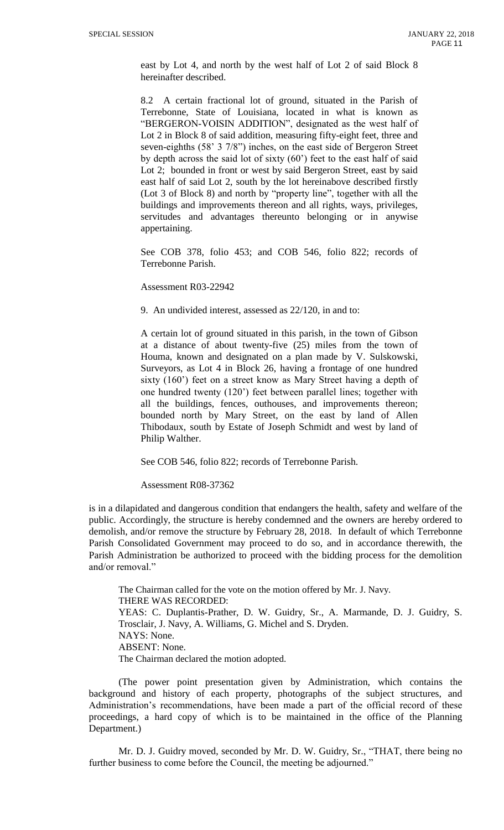east by Lot 4, and north by the west half of Lot 2 of said Block 8 hereinafter described.

8.2 A certain fractional lot of ground, situated in the Parish of Terrebonne, State of Louisiana, located in what is known as "BERGERON-VOISIN ADDITION", designated as the west half of Lot 2 in Block 8 of said addition, measuring fifty-eight feet, three and seven-eighths (58' 3 7/8") inches, on the east side of Bergeron Street by depth across the said lot of sixty (60') feet to the east half of said Lot 2; bounded in front or west by said Bergeron Street, east by said east half of said Lot 2, south by the lot hereinabove described firstly (Lot 3 of Block 8) and north by "property line", together with all the buildings and improvements thereon and all rights, ways, privileges, servitudes and advantages thereunto belonging or in anywise appertaining.

See COB 378, folio 453; and COB 546, folio 822; records of Terrebonne Parish.

Assessment R03-22942

9. An undivided interest, assessed as 22/120, in and to:

A certain lot of ground situated in this parish, in the town of Gibson at a distance of about twenty-five (25) miles from the town of Houma, known and designated on a plan made by V. Sulskowski, Surveyors, as Lot 4 in Block 26, having a frontage of one hundred sixty (160') feet on a street know as Mary Street having a depth of one hundred twenty (120') feet between parallel lines; together with all the buildings, fences, outhouses, and improvements thereon; bounded north by Mary Street, on the east by land of Allen Thibodaux, south by Estate of Joseph Schmidt and west by land of Philip Walther.

See COB 546, folio 822; records of Terrebonne Parish.

Assessment R08-37362

is in a dilapidated and dangerous condition that endangers the health, safety and welfare of the public. Accordingly, the structure is hereby condemned and the owners are hereby ordered to demolish, and/or remove the structure by February 28, 2018. In default of which Terrebonne Parish Consolidated Government may proceed to do so, and in accordance therewith, the Parish Administration be authorized to proceed with the bidding process for the demolition and/or removal."

The Chairman called for the vote on the motion offered by Mr. J. Navy. THERE WAS RECORDED: YEAS: C. Duplantis-Prather, D. W. Guidry, Sr., A. Marmande, D. J. Guidry, S. Trosclair, J. Navy, A. Williams, G. Michel and S. Dryden. NAYS: None. ABSENT: None. The Chairman declared the motion adopted.

(The power point presentation given by Administration, which contains the background and history of each property, photographs of the subject structures, and Administration's recommendations, have been made a part of the official record of these proceedings, a hard copy of which is to be maintained in the office of the Planning Department.)

Mr. D. J. Guidry moved, seconded by Mr. D. W. Guidry, Sr., "THAT, there being no further business to come before the Council, the meeting be adjourned."